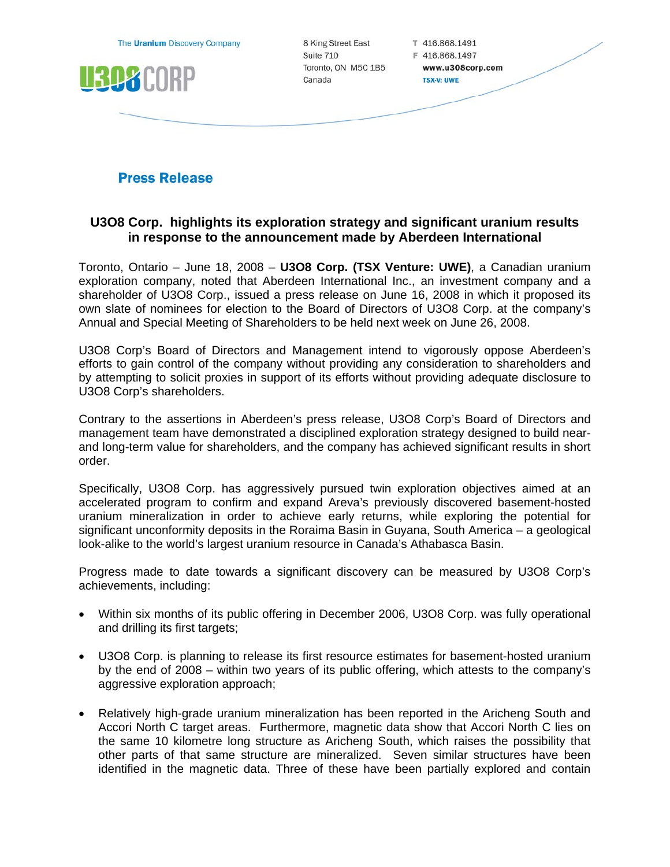| The Uranium Discovery Company | 8 King Street East                         | T 416.868.1491                                          |  |
|-------------------------------|--------------------------------------------|---------------------------------------------------------|--|
| 15<br>Π                       | Suite 710<br>Toronto, ON M5C 1B5<br>Canada | F 416.868.1497<br>www.u308corp.com<br><b>TSX-V: UWE</b> |  |
|                               |                                            |                                                         |  |

# **Press Release**

# **U3O8 Corp. highlights its exploration strategy and significant uranium results in response to the announcement made by Aberdeen International**

Toronto, Ontario – June 18, 2008 – **U3O8 Corp. (TSX Venture: UWE)**, a Canadian uranium exploration company, noted that Aberdeen International Inc., an investment company and a shareholder of U3O8 Corp., issued a press release on June 16, 2008 in which it proposed its own slate of nominees for election to the Board of Directors of U3O8 Corp. at the company's Annual and Special Meeting of Shareholders to be held next week on June 26, 2008.

U3O8 Corp's Board of Directors and Management intend to vigorously oppose Aberdeen's efforts to gain control of the company without providing any consideration to shareholders and by attempting to solicit proxies in support of its efforts without providing adequate disclosure to U3O8 Corp's shareholders.

Contrary to the assertions in Aberdeen's press release, U3O8 Corp's Board of Directors and management team have demonstrated a disciplined exploration strategy designed to build nearand long-term value for shareholders, and the company has achieved significant results in short order.

Specifically, U3O8 Corp. has aggressively pursued twin exploration objectives aimed at an accelerated program to confirm and expand Areva's previously discovered basement-hosted uranium mineralization in order to achieve early returns, while exploring the potential for significant unconformity deposits in the Roraima Basin in Guyana, South America – a geological look-alike to the world's largest uranium resource in Canada's Athabasca Basin.

Progress made to date towards a significant discovery can be measured by U3O8 Corp's achievements, including:

- Within six months of its public offering in December 2006, U3O8 Corp. was fully operational and drilling its first targets;
- U3O8 Corp. is planning to release its first resource estimates for basement-hosted uranium by the end of 2008 – within two years of its public offering, which attests to the company's aggressive exploration approach;
- Relatively high-grade uranium mineralization has been reported in the Aricheng South and Accori North C target areas. Furthermore, magnetic data show that Accori North C lies on the same 10 kilometre long structure as Aricheng South, which raises the possibility that other parts of that same structure are mineralized. Seven similar structures have been identified in the magnetic data. Three of these have been partially explored and contain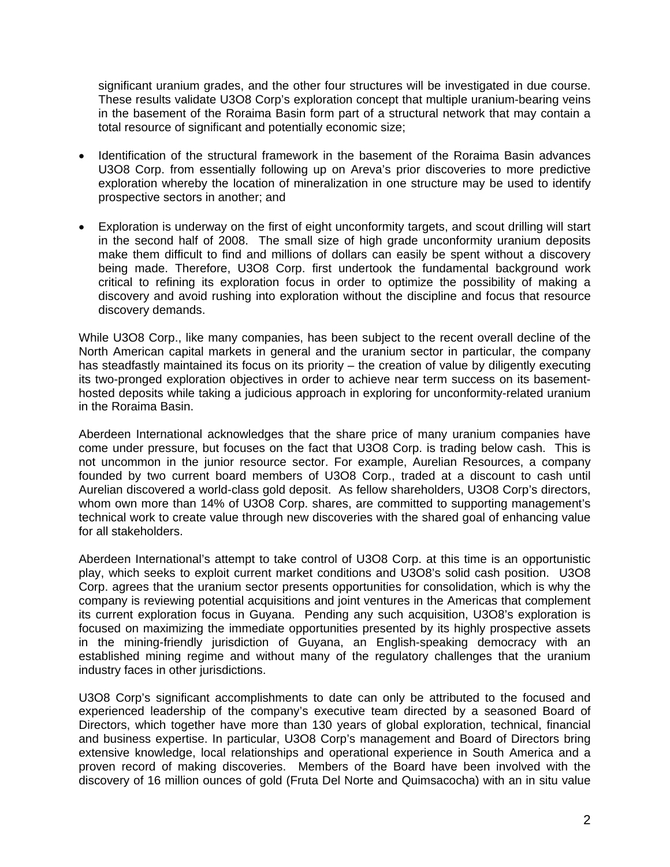significant uranium grades, and the other four structures will be investigated in due course. These results validate U3O8 Corp's exploration concept that multiple uranium-bearing veins in the basement of the Roraima Basin form part of a structural network that may contain a total resource of significant and potentially economic size;

- Identification of the structural framework in the basement of the Roraima Basin advances U3O8 Corp. from essentially following up on Areva's prior discoveries to more predictive exploration whereby the location of mineralization in one structure may be used to identify prospective sectors in another; and
- Exploration is underway on the first of eight unconformity targets, and scout drilling will start in the second half of 2008. The small size of high grade unconformity uranium deposits make them difficult to find and millions of dollars can easily be spent without a discovery being made. Therefore, U3O8 Corp. first undertook the fundamental background work critical to refining its exploration focus in order to optimize the possibility of making a discovery and avoid rushing into exploration without the discipline and focus that resource discovery demands.

While U3O8 Corp., like many companies, has been subject to the recent overall decline of the North American capital markets in general and the uranium sector in particular, the company has steadfastly maintained its focus on its priority – the creation of value by diligently executing its two-pronged exploration objectives in order to achieve near term success on its basementhosted deposits while taking a judicious approach in exploring for unconformity-related uranium in the Roraima Basin.

Aberdeen International acknowledges that the share price of many uranium companies have come under pressure, but focuses on the fact that U3O8 Corp. is trading below cash. This is not uncommon in the junior resource sector. For example, Aurelian Resources, a company founded by two current board members of U3O8 Corp., traded at a discount to cash until Aurelian discovered a world-class gold deposit. As fellow shareholders, U3O8 Corp's directors, whom own more than 14% of U3O8 Corp. shares, are committed to supporting management's technical work to create value through new discoveries with the shared goal of enhancing value for all stakeholders.

Aberdeen International's attempt to take control of U3O8 Corp. at this time is an opportunistic play, which seeks to exploit current market conditions and U3O8's solid cash position. U3O8 Corp. agrees that the uranium sector presents opportunities for consolidation, which is why the company is reviewing potential acquisitions and joint ventures in the Americas that complement its current exploration focus in Guyana. Pending any such acquisition, U3O8's exploration is focused on maximizing the immediate opportunities presented by its highly prospective assets in the mining-friendly jurisdiction of Guyana, an English-speaking democracy with an established mining regime and without many of the regulatory challenges that the uranium industry faces in other jurisdictions.

U3O8 Corp's significant accomplishments to date can only be attributed to the focused and experienced leadership of the company's executive team directed by a seasoned Board of Directors, which together have more than 130 years of global exploration, technical, financial and business expertise. In particular, U3O8 Corp's management and Board of Directors bring extensive knowledge, local relationships and operational experience in South America and a proven record of making discoveries. Members of the Board have been involved with the discovery of 16 million ounces of gold (Fruta Del Norte and Quimsacocha) with an in situ value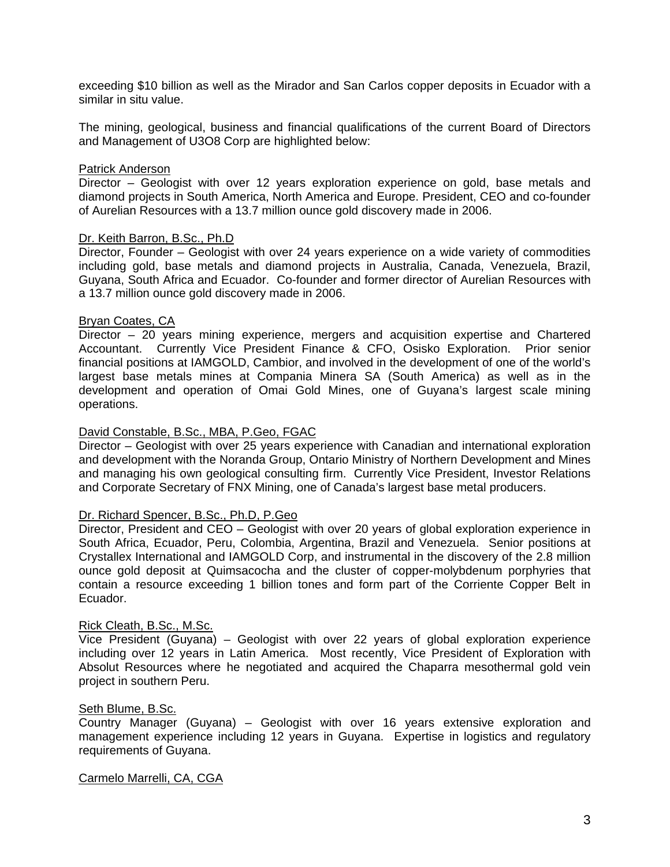exceeding \$10 billion as well as the Mirador and San Carlos copper deposits in Ecuador with a similar in situ value.

The mining, geological, business and financial qualifications of the current Board of Directors and Management of U3O8 Corp are highlighted below:

## Patrick Anderson

Director – Geologist with over 12 years exploration experience on gold, base metals and diamond projects in South America, North America and Europe. President, CEO and co-founder of Aurelian Resources with a 13.7 million ounce gold discovery made in 2006.

# Dr. Keith Barron, B.Sc., Ph.D

Director, Founder – Geologist with over 24 years experience on a wide variety of commodities including gold, base metals and diamond projects in Australia, Canada, Venezuela, Brazil, Guyana, South Africa and Ecuador. Co-founder and former director of Aurelian Resources with a 13.7 million ounce gold discovery made in 2006.

## Bryan Coates, CA

Director – 20 years mining experience, mergers and acquisition expertise and Chartered Accountant. Currently Vice President Finance & CFO, Osisko Exploration. Prior senior financial positions at IAMGOLD, Cambior, and involved in the development of one of the world's largest base metals mines at Compania Minera SA (South America) as well as in the development and operation of Omai Gold Mines, one of Guyana's largest scale mining operations.

### David Constable, B.Sc., MBA, P.Geo, FGAC

Director – Geologist with over 25 years experience with Canadian and international exploration and development with the Noranda Group, Ontario Ministry of Northern Development and Mines and managing his own geological consulting firm. Currently Vice President, Investor Relations and Corporate Secretary of FNX Mining, one of Canada's largest base metal producers.

### Dr. Richard Spencer, B.Sc., Ph.D, P.Geo

Director, President and CEO – Geologist with over 20 years of global exploration experience in South Africa, Ecuador, Peru, Colombia, Argentina, Brazil and Venezuela. Senior positions at Crystallex International and IAMGOLD Corp, and instrumental in the discovery of the 2.8 million ounce gold deposit at Quimsacocha and the cluster of copper-molybdenum porphyries that contain a resource exceeding 1 billion tones and form part of the Corriente Copper Belt in Ecuador.

## Rick Cleath, B.Sc., M.Sc.

Vice President (Guyana) – Geologist with over 22 years of global exploration experience including over 12 years in Latin America. Most recently, Vice President of Exploration with Absolut Resources where he negotiated and acquired the Chaparra mesothermal gold vein project in southern Peru.

#### Seth Blume, B.Sc.

Country Manager (Guyana) – Geologist with over 16 years extensive exploration and management experience including 12 years in Guyana. Expertise in logistics and regulatory requirements of Guyana.

#### Carmelo Marrelli, CA, CGA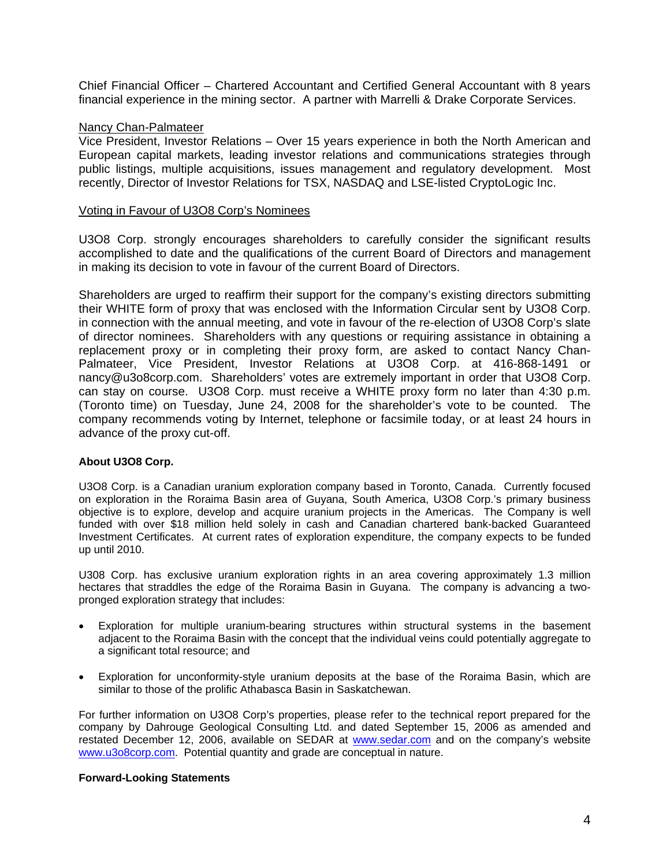Chief Financial Officer – Chartered Accountant and Certified General Accountant with 8 years financial experience in the mining sector. A partner with Marrelli & Drake Corporate Services.

# Nancy Chan-Palmateer

Vice President, Investor Relations – Over 15 years experience in both the North American and European capital markets, leading investor relations and communications strategies through public listings, multiple acquisitions, issues management and regulatory development. Most recently, Director of Investor Relations for TSX, NASDAQ and LSE-listed CryptoLogic Inc.

### Voting in Favour of U3O8 Corp's Nominees

U3O8 Corp. strongly encourages shareholders to carefully consider the significant results accomplished to date and the qualifications of the current Board of Directors and management in making its decision to vote in favour of the current Board of Directors.

Shareholders are urged to reaffirm their support for the company's existing directors submitting their WHITE form of proxy that was enclosed with the Information Circular sent by U3O8 Corp. in connection with the annual meeting, and vote in favour of the re-election of U3O8 Corp's slate of director nominees. Shareholders with any questions or requiring assistance in obtaining a replacement proxy or in completing their proxy form, are asked to contact Nancy Chan-Palmateer, Vice President, Investor Relations at U3O8 Corp. at 416-868-1491 or nancy@u3o8corp.com. Shareholders' votes are extremely important in order that U3O8 Corp. can stay on course. U3O8 Corp. must receive a WHITE proxy form no later than 4:30 p.m. (Toronto time) on Tuesday, June 24, 2008 for the shareholder's vote to be counted. The company recommends voting by Internet, telephone or facsimile today, or at least 24 hours in advance of the proxy cut-off.

#### **About U3O8 Corp.**

U3O8 Corp. is a Canadian uranium exploration company based in Toronto, Canada. Currently focused on exploration in the Roraima Basin area of Guyana, South America, U3O8 Corp.'s primary business objective is to explore, develop and acquire uranium projects in the Americas. The Company is well funded with over \$18 million held solely in cash and Canadian chartered bank-backed Guaranteed Investment Certificates. At current rates of exploration expenditure, the company expects to be funded up until 2010.

U308 Corp. has exclusive uranium exploration rights in an area covering approximately 1.3 million hectares that straddles the edge of the Roraima Basin in Guyana. The company is advancing a twopronged exploration strategy that includes:

- Exploration for multiple uranium-bearing structures within structural systems in the basement adjacent to the Roraima Basin with the concept that the individual veins could potentially aggregate to a significant total resource; and
- Exploration for unconformity-style uranium deposits at the base of the Roraima Basin, which are similar to those of the prolific Athabasca Basin in Saskatchewan.

For further information on U3O8 Corp's properties, please refer to the technical report prepared for the company by Dahrouge Geological Consulting Ltd. and dated September 15, 2006 as amended and restated December 12, 2006, available on SEDAR at www.sedar.com and on the company's website www.u3o8corp.com. Potential quantity and grade are conceptual in nature.

#### **Forward-Looking Statements**